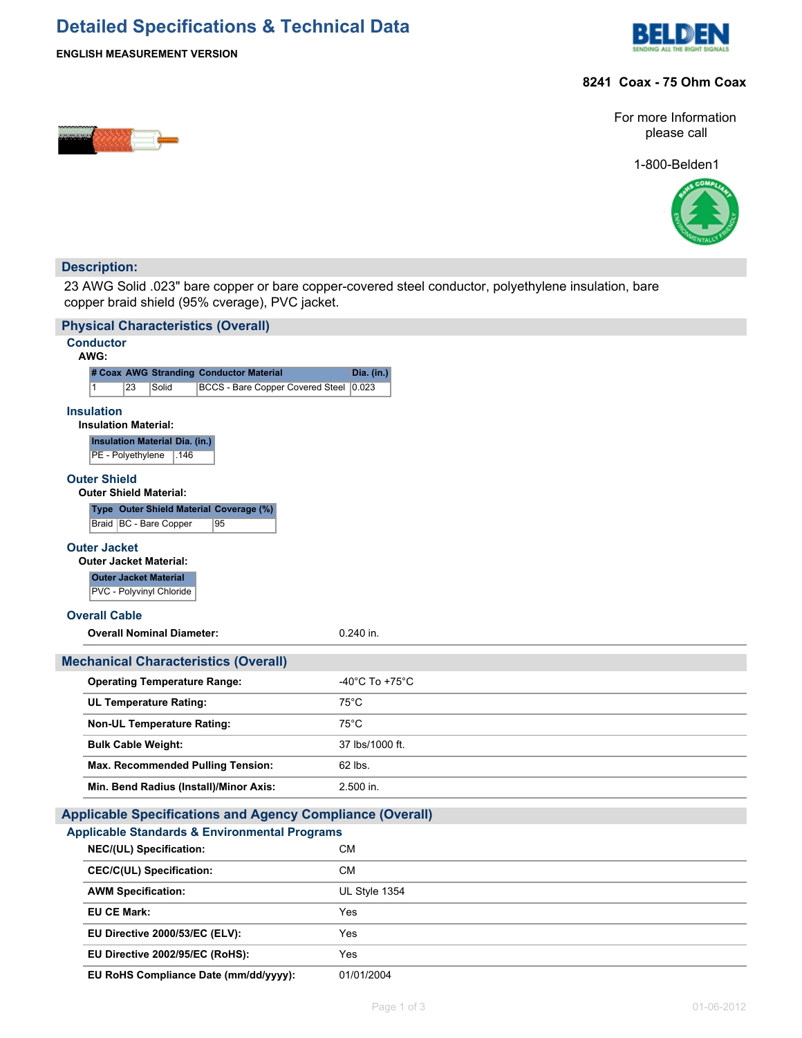# **Detailed Specifications & Technical Data**



### **ENGLISH MEASUREMENT VERSION**

## **8241 Coax - 75 Ohm Coax**

For more Information please call

1-800-Belden1



## **Description:**

23 AWG Solid .023" bare copper or bare copper-covered steel conductor, polyethylene insulation, bare copper braid shield (95% cverage), PVC jacket.

| <b>Physical Characteristics (Overall)</b>                                 |                                    |  |  |  |  |  |  |  |  |
|---------------------------------------------------------------------------|------------------------------------|--|--|--|--|--|--|--|--|
| <b>Conductor</b><br>AWG:                                                  |                                    |  |  |  |  |  |  |  |  |
| # Coax AWG Stranding Conductor Material                                   | Dia. (in.)                         |  |  |  |  |  |  |  |  |
| 23<br>Solid<br><b>BCCS - Bare Copper Covered Steel</b><br>1               | 0.023                              |  |  |  |  |  |  |  |  |
| <b>Insulation</b>                                                         |                                    |  |  |  |  |  |  |  |  |
| <b>Insulation Material:</b>                                               |                                    |  |  |  |  |  |  |  |  |
| <b>Insulation Material Dia. (in.)</b><br>PE - Polyethylene<br>∣.146       |                                    |  |  |  |  |  |  |  |  |
| <b>Outer Shield</b>                                                       |                                    |  |  |  |  |  |  |  |  |
| <b>Outer Shield Material:</b>                                             |                                    |  |  |  |  |  |  |  |  |
| Type Outer Shield Material Coverage (%)<br>Braid   BC - Bare Copper<br>95 |                                    |  |  |  |  |  |  |  |  |
| <b>Outer Jacket</b>                                                       |                                    |  |  |  |  |  |  |  |  |
| <b>Outer Jacket Material:</b>                                             |                                    |  |  |  |  |  |  |  |  |
| <b>Outer Jacket Material</b><br>PVC - Polyvinyl Chloride                  |                                    |  |  |  |  |  |  |  |  |
|                                                                           |                                    |  |  |  |  |  |  |  |  |
| <b>Overall Cable</b><br><b>Overall Nominal Diameter:</b>                  | 0.240 in.                          |  |  |  |  |  |  |  |  |
|                                                                           |                                    |  |  |  |  |  |  |  |  |
| <b>Mechanical Characteristics (Overall)</b>                               |                                    |  |  |  |  |  |  |  |  |
| <b>Operating Temperature Range:</b>                                       | $-40^{\circ}$ C To $+75^{\circ}$ C |  |  |  |  |  |  |  |  |
| <b>UL Temperature Rating:</b>                                             | $75^{\circ}$ C                     |  |  |  |  |  |  |  |  |
| <b>Non-UL Temperature Rating:</b>                                         | $75^{\circ}$ C                     |  |  |  |  |  |  |  |  |
| <b>Bulk Cable Weight:</b>                                                 | 37 lbs/1000 ft.                    |  |  |  |  |  |  |  |  |
| Max. Recommended Pulling Tension:                                         | 62 lbs.                            |  |  |  |  |  |  |  |  |
| Min. Bend Radius (Install)/Minor Axis:                                    | 2.500 in.                          |  |  |  |  |  |  |  |  |
| <b>Applicable Specifications and Agency Compliance (Overall)</b>          |                                    |  |  |  |  |  |  |  |  |
| <b>Applicable Standards &amp; Environmental Programs</b>                  |                                    |  |  |  |  |  |  |  |  |
| NEC/(UL) Specification:                                                   | <b>CM</b>                          |  |  |  |  |  |  |  |  |
| <b>CEC/C(UL) Specification:</b>                                           | <b>CM</b>                          |  |  |  |  |  |  |  |  |
| <b>AWM Specification:</b>                                                 | UL Style 1354                      |  |  |  |  |  |  |  |  |
| <b>EU CE Mark:</b>                                                        | Yes                                |  |  |  |  |  |  |  |  |
| EU Directive 2000/53/EC (ELV):                                            | Yes                                |  |  |  |  |  |  |  |  |
| EU Directive 2002/95/EC (RoHS):                                           | Yes                                |  |  |  |  |  |  |  |  |
| EU RoHS Compliance Date (mm/dd/yyyy):                                     | 01/01/2004                         |  |  |  |  |  |  |  |  |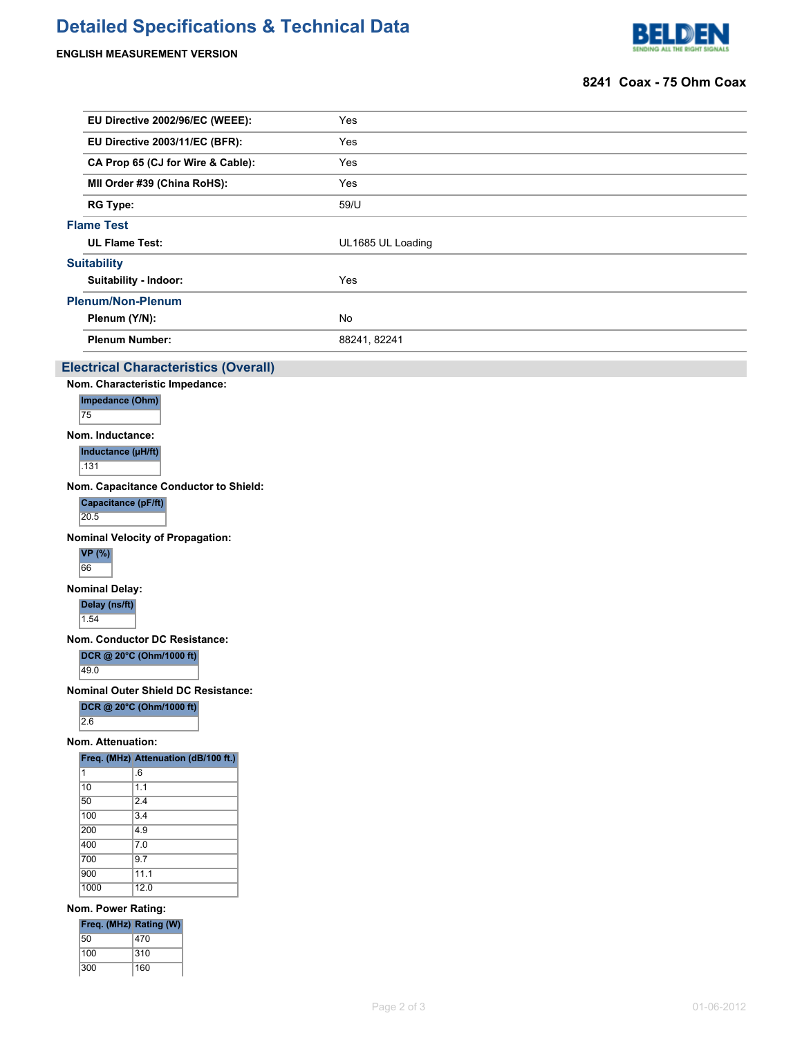# **Detailed Specifications & Technical Data**

**ENGLISH MEASUREMENT VERSION**



### **8241 Coax - 75 Ohm Coax**

|                                   | EU Directive 2002/96/EC (WEEE):                                               |  |  | Yes               |  |  |  |  |
|-----------------------------------|-------------------------------------------------------------------------------|--|--|-------------------|--|--|--|--|
|                                   | EU Directive 2003/11/EC (BFR):                                                |  |  | Yes               |  |  |  |  |
| CA Prop 65 (CJ for Wire & Cable): |                                                                               |  |  | Yes               |  |  |  |  |
| MII Order #39 (China RoHS):       |                                                                               |  |  | Yes               |  |  |  |  |
| <b>RG Type:</b>                   |                                                                               |  |  | 59/U              |  |  |  |  |
|                                   | <b>Flame Test</b>                                                             |  |  |                   |  |  |  |  |
| <b>UL Flame Test:</b>             |                                                                               |  |  | UL1685 UL Loading |  |  |  |  |
|                                   | <b>Suitability</b>                                                            |  |  |                   |  |  |  |  |
|                                   | Suitability - Indoor:                                                         |  |  | Yes               |  |  |  |  |
|                                   | <b>Plenum/Non-Plenum</b>                                                      |  |  |                   |  |  |  |  |
| Plenum (Y/N):                     |                                                                               |  |  | No                |  |  |  |  |
|                                   | <b>Plenum Number:</b>                                                         |  |  | 88241, 82241      |  |  |  |  |
|                                   |                                                                               |  |  |                   |  |  |  |  |
|                                   | <b>Electrical Characteristics (Overall)</b><br>Nom. Characteristic Impedance: |  |  |                   |  |  |  |  |
|                                   | Impedance (Ohm)                                                               |  |  |                   |  |  |  |  |
| 75                                |                                                                               |  |  |                   |  |  |  |  |
|                                   | Nom. Inductance:                                                              |  |  |                   |  |  |  |  |
|                                   | Inductance (µH/ft)                                                            |  |  |                   |  |  |  |  |
| .131                              |                                                                               |  |  |                   |  |  |  |  |
|                                   | Nom. Capacitance Conductor to Shield:                                         |  |  |                   |  |  |  |  |
| 20.5                              | <b>Capacitance (pF/ft)</b>                                                    |  |  |                   |  |  |  |  |
|                                   |                                                                               |  |  |                   |  |  |  |  |
|                                   | <b>Nominal Velocity of Propagation:</b><br><b>VP</b> (%)                      |  |  |                   |  |  |  |  |
| 66                                |                                                                               |  |  |                   |  |  |  |  |
|                                   | <b>Nominal Delay:</b>                                                         |  |  |                   |  |  |  |  |
|                                   | Delay (ns/ft)                                                                 |  |  |                   |  |  |  |  |
| 1.54                              |                                                                               |  |  |                   |  |  |  |  |
|                                   | Nom. Conductor DC Resistance:                                                 |  |  |                   |  |  |  |  |
|                                   | DCR @ 20°C (Ohm/1000 ft)                                                      |  |  |                   |  |  |  |  |
| 49.0                              |                                                                               |  |  |                   |  |  |  |  |
|                                   | Nominal Outer Shield DC Resistance:                                           |  |  |                   |  |  |  |  |
| $\overline{2.6}$                  | DCR @ 20°C (Ohm/1000 ft)                                                      |  |  |                   |  |  |  |  |
|                                   | Nom. Attenuation:                                                             |  |  |                   |  |  |  |  |
|                                   | Freq. (MHz) Attenuation (dB/100 ft.)                                          |  |  |                   |  |  |  |  |
| 1                                 | .6                                                                            |  |  |                   |  |  |  |  |
| $ 10\rangle$                      | 1.1                                                                           |  |  |                   |  |  |  |  |
| 50<br>100                         | $\overline{2.4}$<br>3.4                                                       |  |  |                   |  |  |  |  |
| 200                               | 4.9                                                                           |  |  |                   |  |  |  |  |
| 400                               | 7.0                                                                           |  |  |                   |  |  |  |  |
| 700<br>900                        | 9.7<br>11.1                                                                   |  |  |                   |  |  |  |  |
| 1000                              | 12.0                                                                          |  |  |                   |  |  |  |  |
|                                   | Nom. Power Rating:                                                            |  |  |                   |  |  |  |  |
|                                   | Freq. (MHz) Rating (W)                                                        |  |  |                   |  |  |  |  |
| 50                                | 470                                                                           |  |  |                   |  |  |  |  |
| 100                               | 310                                                                           |  |  |                   |  |  |  |  |
| 300                               | 160                                                                           |  |  |                   |  |  |  |  |